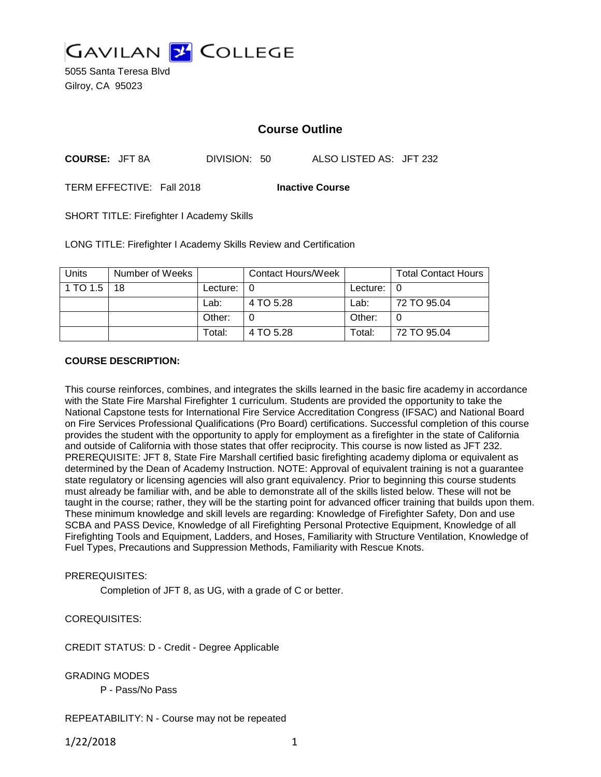

5055 Santa Teresa Blvd Gilroy, CA 95023

# **Course Outline**

**COURSE:** JFT 8A DIVISION: 50 ALSO LISTED AS: JFT 232

TERM EFFECTIVE: Fall 2018 **Inactive Course**

SHORT TITLE: Firefighter I Academy Skills

LONG TITLE: Firefighter I Academy Skills Review and Certification

| Units    | Number of Weeks |          | <b>Contact Hours/Week</b> |          | <b>Total Contact Hours</b> |
|----------|-----------------|----------|---------------------------|----------|----------------------------|
| 1 TO 1.5 | 18              | Lecture: |                           | Lecture: |                            |
|          |                 | Lab:     | 4 TO 5.28                 | Lab:     | 72 TO 95.04                |
|          |                 | Other:   |                           | Other:   |                            |
|          |                 | Total:   | 4 TO 5.28                 | Total:   | 72 TO 95.04                |

#### **COURSE DESCRIPTION:**

This course reinforces, combines, and integrates the skills learned in the basic fire academy in accordance with the State Fire Marshal Firefighter 1 curriculum. Students are provided the opportunity to take the National Capstone tests for International Fire Service Accreditation Congress (IFSAC) and National Board on Fire Services Professional Qualifications (Pro Board) certifications. Successful completion of this course provides the student with the opportunity to apply for employment as a firefighter in the state of California and outside of California with those states that offer reciprocity. This course is now listed as JFT 232. PREREQUISITE: JFT 8, State Fire Marshall certified basic firefighting academy diploma or equivalent as determined by the Dean of Academy Instruction. NOTE: Approval of equivalent training is not a guarantee state regulatory or licensing agencies will also grant equivalency. Prior to beginning this course students must already be familiar with, and be able to demonstrate all of the skills listed below. These will not be taught in the course; rather, they will be the starting point for advanced officer training that builds upon them. These minimum knowledge and skill levels are regarding: Knowledge of Firefighter Safety, Don and use SCBA and PASS Device, Knowledge of all Firefighting Personal Protective Equipment, Knowledge of all Firefighting Tools and Equipment, Ladders, and Hoses, Familiarity with Structure Ventilation, Knowledge of Fuel Types, Precautions and Suppression Methods, Familiarity with Rescue Knots.

#### PREREQUISITES:

Completion of JFT 8, as UG, with a grade of C or better.

COREQUISITES:

CREDIT STATUS: D - Credit - Degree Applicable

GRADING MODES P - Pass/No Pass

REPEATABILITY: N - Course may not be repeated

1/22/2018 1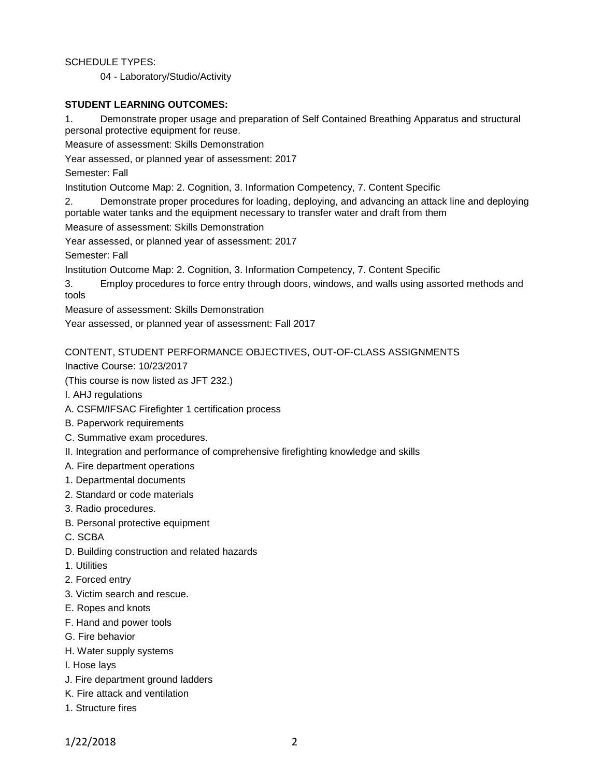### SCHEDULE TYPES:

04 - Laboratory/Studio/Activity

### **STUDENT LEARNING OUTCOMES:**

1. Demonstrate proper usage and preparation of Self Contained Breathing Apparatus and structural personal protective equipment for reuse.

Measure of assessment: Skills Demonstration

Year assessed, or planned year of assessment: 2017

Semester: Fall

Institution Outcome Map: 2. Cognition, 3. Information Competency, 7. Content Specific

2. Demonstrate proper procedures for loading, deploying, and advancing an attack line and deploying portable water tanks and the equipment necessary to transfer water and draft from them Measure of assessment: Skills Demonstration

Year assessed, or planned year of assessment: 2017

Semester: Fall

Institution Outcome Map: 2. Cognition, 3. Information Competency, 7. Content Specific

3. Employ procedures to force entry through doors, windows, and walls using assorted methods and tools

Measure of assessment: Skills Demonstration

Year assessed, or planned year of assessment: Fall 2017

CONTENT, STUDENT PERFORMANCE OBJECTIVES, OUT-OF-CLASS ASSIGNMENTS

Inactive Course: 10/23/2017

(This course is now listed as JFT 232.)

- I. AHJ regulations
- A. CSFM/IFSAC Firefighter 1 certification process
- B. Paperwork requirements
- C. Summative exam procedures.
- II. Integration and performance of comprehensive firefighting knowledge and skills
- A. Fire department operations
- 1. Departmental documents
- 2. Standard or code materials
- 3. Radio procedures.
- B. Personal protective equipment
- C. SCBA
- D. Building construction and related hazards
- 1. Utilities
- 2. Forced entry
- 3. Victim search and rescue.
- E. Ropes and knots
- F. Hand and power tools
- G. Fire behavior
- H. Water supply systems
- I. Hose lays
- J. Fire department ground ladders
- K. Fire attack and ventilation
- 1. Structure fires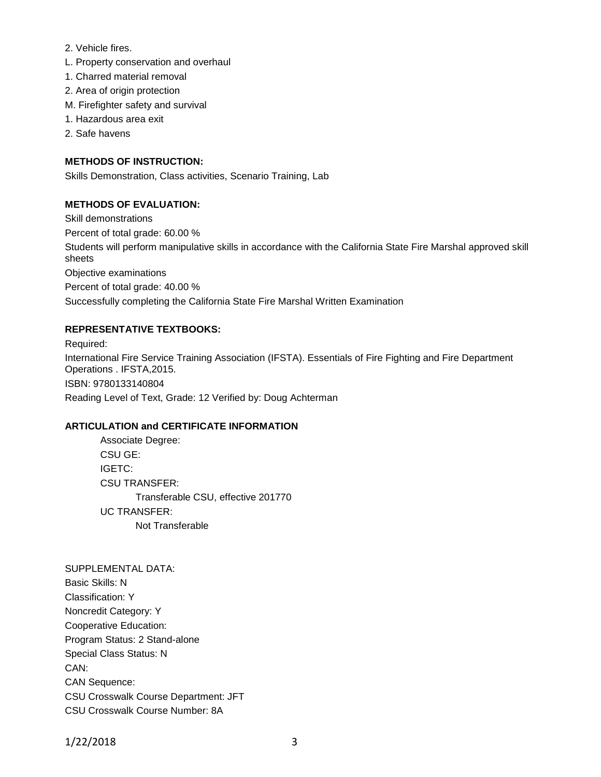- 2. Vehicle fires.
- L. Property conservation and overhaul
- 1. Charred material removal
- 2. Area of origin protection
- M. Firefighter safety and survival
- 1. Hazardous area exit
- 2. Safe havens

## **METHODS OF INSTRUCTION:**

Skills Demonstration, Class activities, Scenario Training, Lab

### **METHODS OF EVALUATION:**

Skill demonstrations Percent of total grade: 60.00 % Students will perform manipulative skills in accordance with the California State Fire Marshal approved skill sheets Objective examinations Percent of total grade: 40.00 % Successfully completing the California State Fire Marshal Written Examination

### **REPRESENTATIVE TEXTBOOKS:**

Required: International Fire Service Training Association (IFSTA). Essentials of Fire Fighting and Fire Department Operations . IFSTA,2015. ISBN: 9780133140804 Reading Level of Text, Grade: 12 Verified by: Doug Achterman

### **ARTICULATION and CERTIFICATE INFORMATION**

Associate Degree: CSU GE: IGETC: CSU TRANSFER: Transferable CSU, effective 201770 UC TRANSFER: Not Transferable

### SUPPLEMENTAL DATA:

Basic Skills: N Classification: Y Noncredit Category: Y Cooperative Education: Program Status: 2 Stand-alone Special Class Status: N CAN: CAN Sequence: CSU Crosswalk Course Department: JFT CSU Crosswalk Course Number: 8A

1/22/2018 3